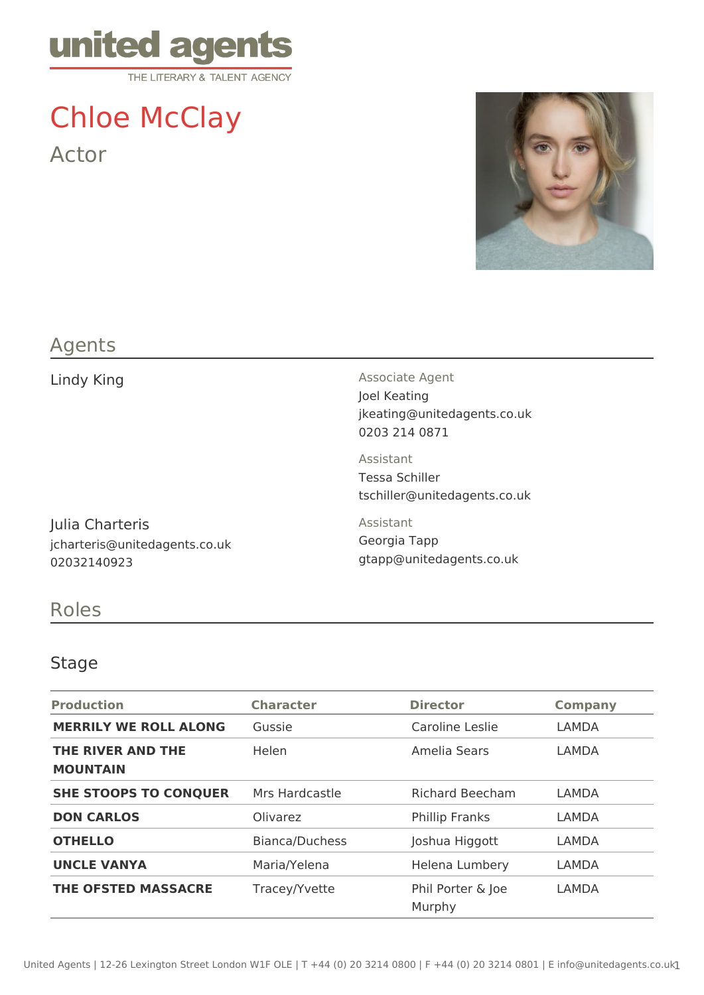

# Chloe McClay Actor



## Agents

Julia Charteris jcharteris@unitedagents.co.uk 02032140923

Lindy King **Associate Agent** Associate Agent Joel Keating jkeating@unitedagents.co.uk 0203 214 0871

> Assistant Tessa Schiller tschiller@unitedagents.co.uk

Assistant Georgia Tapp gtapp@unitedagents.co.uk

## Roles

#### Stage

| <b>Production</b>                    | <b>Character</b> | <b>Director</b>             | <b>Company</b> |
|--------------------------------------|------------------|-----------------------------|----------------|
| <b>MERRILY WE ROLL ALONG</b>         | Gussie           | Caroline Leslie             | LAMDA          |
| THE RIVER AND THE<br><b>MOUNTAIN</b> | Helen            | Amelia Sears                | LAMDA          |
| <b>SHE STOOPS TO CONQUER</b>         | Mrs Hardcastle   | <b>Richard Beecham</b>      | LAMDA          |
| <b>DON CARLOS</b>                    | Olivarez         | <b>Phillip Franks</b>       | LAMDA          |
| <b>OTHELLO</b>                       | Bianca/Duchess   | Joshua Higgott              | LAMDA          |
| <b>UNCLE VANYA</b>                   | Maria/Yelena     | Helena Lumbery              | LAMDA          |
| <b>THE OFSTED MASSACRE</b>           | Tracey/Yvette    | Phil Porter & Joe<br>Murphy | LAMDA          |